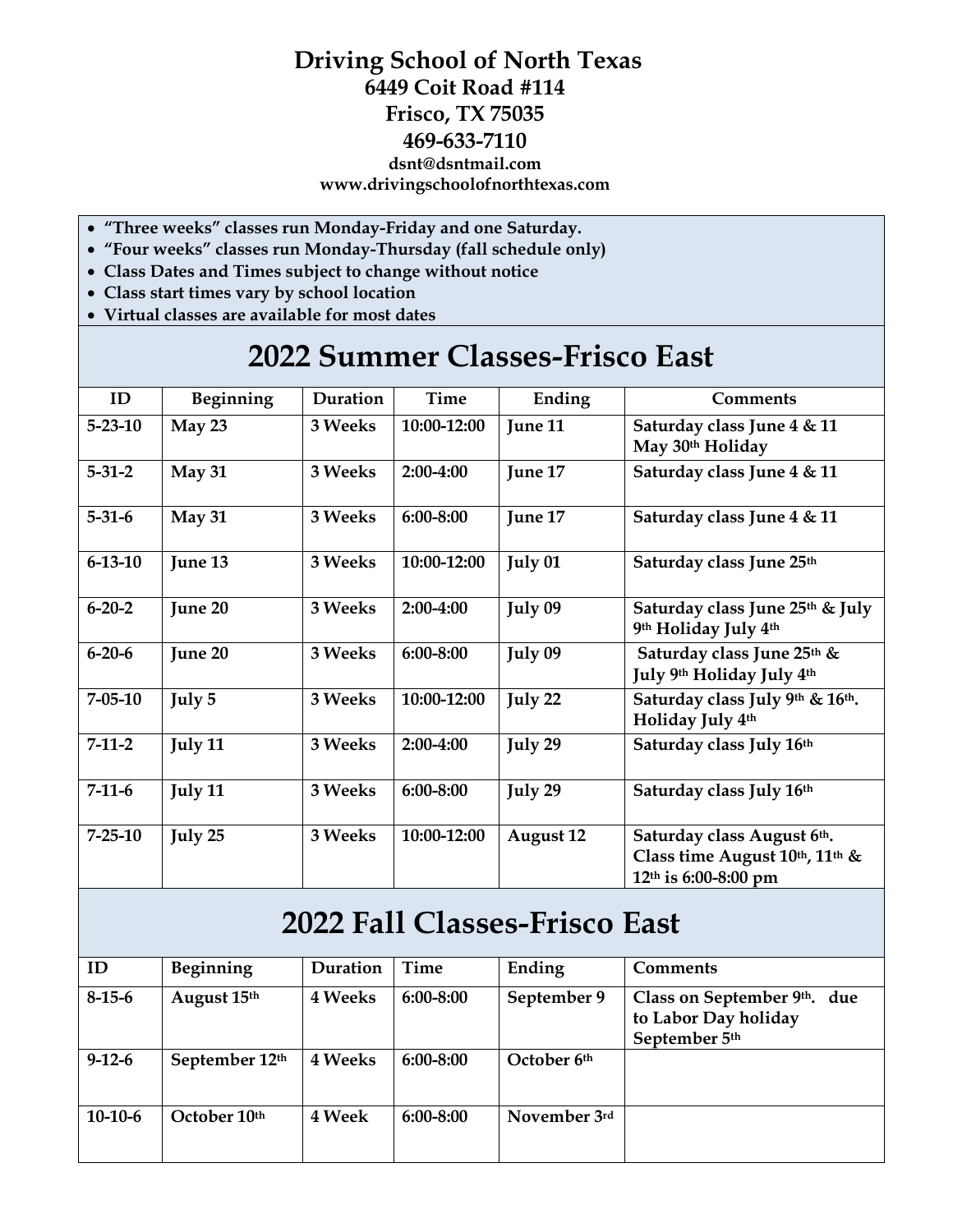## **Driving School of North Texas 6449 Coit Road #114 Frisco, TX 75035 469-633-7110 dsnt@dsntmail.com www.drivingschoolofnorthtexas.com**

- **"Three weeks" classes run Monday-Friday and one Saturday.**
- **"Four weeks" classes run Monday-Thursday (fall schedule only)**
- **Class Dates and Times subject to change without notice**
- **Class start times vary by school location**
- **Virtual classes are available for most dates**

## **2022 Summer Classes-Frisco East**

| ID            | Beginning | Duration | Time        | Ending           | <b>Comments</b>                                                                      |
|---------------|-----------|----------|-------------|------------------|--------------------------------------------------------------------------------------|
| $5 - 23 - 10$ | May 23    | 3 Weeks  | 10:00-12:00 | June 11          | Saturday class June 4 & 11<br>May 30th Holiday                                       |
| $5 - 31 - 2$  | May 31    | 3 Weeks  | 2:00-4:00   | June 17          | Saturday class June 4 & 11                                                           |
| $5 - 31 - 6$  | May 31    | 3 Weeks  | 6:00-8:00   | June 17          | Saturday class June 4 & 11                                                           |
| $6 - 13 - 10$ | June 13   | 3 Weeks  | 10:00-12:00 | July 01          | Saturday class June 25th                                                             |
| $6 - 20 - 2$  | June 20   | 3 Weeks  | 2:00-4:00   | July 09          | Saturday class June 25th & July<br>9th Holiday July 4th                              |
| $6 - 20 - 6$  | June 20   | 3 Weeks  | 6:00-8:00   | July 09          | Saturday class June 25th &<br>July 9th Holiday July 4th                              |
| $7 - 05 - 10$ | July 5    | 3 Weeks  | 10:00-12:00 | July 22          | Saturday class July 9th & 16th.<br>Holiday July 4th                                  |
| $7-11-2$      | July 11   | 3 Weeks  | 2:00-4:00   | July 29          | Saturday class July 16th                                                             |
| $7-11-6$      | July 11   | 3 Weeks  | 6:00-8:00   | July 29          | Saturday class July 16th                                                             |
| $7 - 25 - 10$ | July 25   | 3 Weeks  | 10:00-12:00 | <b>August 12</b> | Saturday class August 6th.<br>Class time August 10th, 11th &<br>12th is 6:00-8:00 pm |

## **2022 Fall Classes-Frisco East**

| ID           | Beginning      | Duration       | Time          | Ending       | <b>Comments</b>                                                         |
|--------------|----------------|----------------|---------------|--------------|-------------------------------------------------------------------------|
| $8-15-6$     | August 15th    | <b>4 Weeks</b> | $6:00 - 8:00$ | September 9  | Class on September $9th$ . due<br>to Labor Day holiday<br>September 5th |
| $9 - 12 - 6$ | September 12th | <b>4 Weeks</b> | $6:00 - 8:00$ | October 6th  |                                                                         |
| $10-10-6$    | October 10th   | <b>4 Week</b>  | $6:00 - 8:00$ | November 3rd |                                                                         |